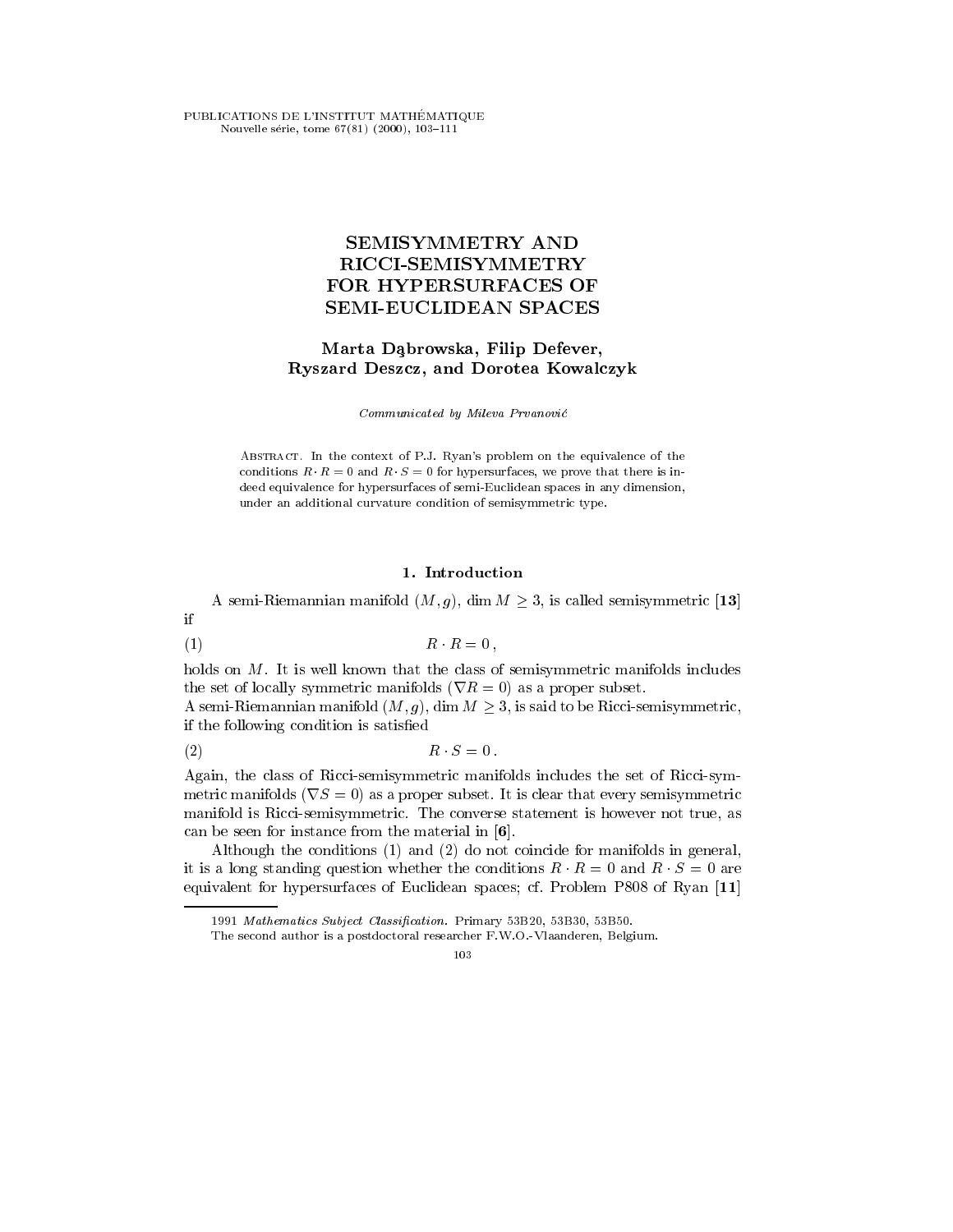PUBLICATIONS DE L'INSTITUT MATHEMA TIQUE Nouvelle série, tome  $67(81)$   $(2000)$ ,  $103-111$ 

# **SEMISYMMETRY AND** RICCI-SEMISYMMETRY FOR HYPERSURFACES OF SEMI-EUCLIDEAN SPACES

## Marta Dabrowska, Filip Defever, Ryszard Deszcz, and Dorotea Kowalczyk

Communicated by Mileva Prvanovic

ABSTRACT. In the context of P.J. Ryan's problem on the equivalence of the conditions  $R \cdot R = 0$  and  $R \cdot S = 0$  for hypersurfaces, we prove that there is indeed equivalence for hypersurfaces of semi-Euclidean spaces in any dimension, under an additional curvature condition of semisymmetric type.

## 1. Introduction

A semi-Riemannian manifold  $(M, g)$ , dim  $M \geq 3$ , is called semisymmetric [13] if

$$
(1) \t\t R \cdot R = 0,
$$

holds on M. It is well known that the class of semisymmetric manifolds includes the set of locally symmetric manifolds  $(\nabla R = 0)$  as a proper subset.

A semi-Riemannian manifold  $(M, g)$ , dim  $M \geq 3$ , is said to be Ricci-semisymmetric, if the following condition is satised

$$
(2) \t\t R \cdot S = 0.
$$

Again, the class of Ricci-semisymmetric manifolds includes the set of Ricci-symmetric manifolds ( $\nabla S = 0$ ) as a proper subset. It is clear that every semisymmetric manifold is Ricci-semisymmetric. The converse statement is however not true, as can be seen for instance from the material in [6].

Although the conditions (1) and (2) do not coincide for manifolds in general, it is a long standing question whether the conditions  $R \cdot R = 0$  and  $R \cdot S = 0$  are equivalent for hypersurfaces of Euclidean spaces; cf. Problem P808 of Ryan [11]

<sup>1991</sup> Mathematics Subject Classification. Primary 53B20, 53B30, 53B50.

The second author is a postdoctoral researcher F.W.O.-Vlaanderen, Belgium.

<sup>103</sup>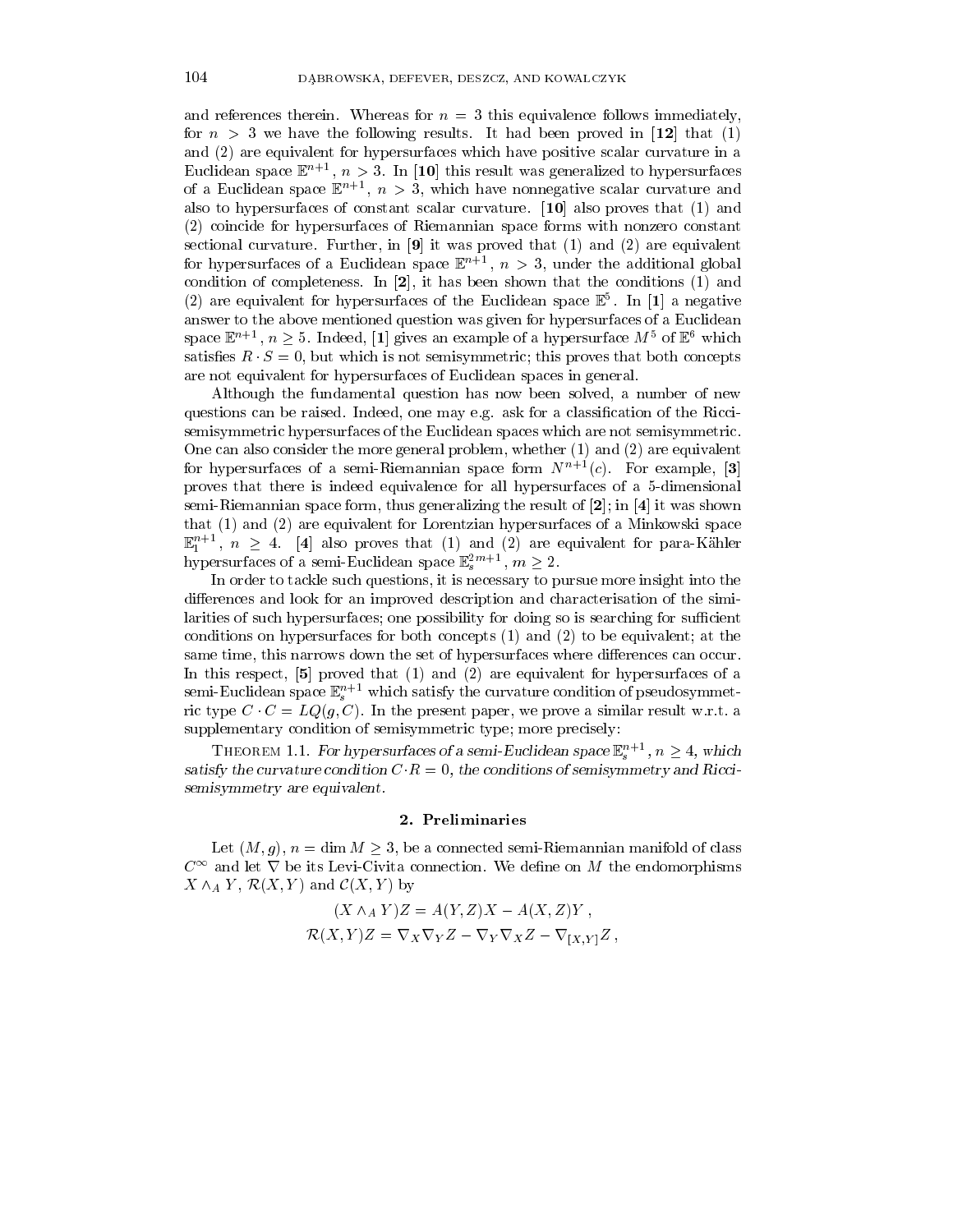and references therein. Whereas for  $n = 3$  this equivalence follows immediately, for  $n > 3$  we have the following results. It had been proved in [12] that (1) and (2) are equivalent for hypersurfaces which have positive scalar curvature in a Euclidean space  $\mathbb{E}^n \to \mathbb{E}$ ,  $n > 3$ . In [10] this result was generalized to hypersurfaces of a Euchdean space  $\mathbb{E}^{n+1},\;n\geq 3,\;$  which have nonnegative scalar curvature and also to hypersurfaces of constant scalar curvature.  $[10]$  also proves that  $(1)$  and (2) coincide for hypersurfaces of Riemannian space forms with nonzero constant sectional curvature. Further, in  $[9]$  it was proved that  $(1)$  and  $(2)$  are equivalent for hypersurfaces of a Euclidean space  $\mathbb{E} \rightarrow n \geq 3$ , under the additional global condition of completeness. In [2], it has been shown that the conditions (1) and  $(2)$  are equivalent for hypersurfaces of the Euclidean space  $\mathbb E$  . In [1] a negative answer to the above mentioned question was given for hypersurfaces of a Euclidean space  $\mathbb{E}^{n+1}$ ,  $n \geq 5$ . Indeed, [1] gives an example of a hypersurface  $M^{\circ}$  of  $\mathbb{E}^{\circ}$  which satisfies  $R \cdot S = 0$ , but which is not semisymmetric; this proves that both concepts are not equivalent for hypersurfaces of Euclidean spaces in general.

Although the fundamental question has now been solved, a number of new questions can be raised. Indeed, one may e.g. ask for a classication of the Riccisemisymmetric hypersurfaces of the Euclidean spaces which are not semisymmetric. One can also consider the more general problem, whether (1) and (2) are equivalent for hypersurfaces of a semi-Riemannian space form  $N^{n+1}(c)$ . For example, [3] proves that there is indeed equivalence for all hypersurfaces of a 5-dimensional semi-Riemannian space form, thus generalizing the result of  $[2]$ ; in  $[4]$  it was shown that (1) and (2) are equivalent for Lorentzian hypersurfaces of a Minkowski space  $\mathbb{E}_1^{n+1}$ ,  $n \geq 4$ . [4] also proves that (1) and (2) are equivalent for para-Kähler hypersurfaces of a semi-Euclidean space  $\mathbb{E}_s^{2m+1}$ ,  $m\geq 2$ .

In order to tackle such questions, it is necessary to pursue more insight into the differences and look for an improved description and characterisation of the similarities of such hypersurfaces; one possibility for doing so is searching for sufficient conditions on hypersurfaces for both concepts (1) and (2) to be equivalent; at the same time, this narrows down the set of hypersurfaces where differences can occur. In this respect, [5] proved that (1) and (2) are equivalent for hypersurfaces of a  $\operatorname{sem}\nolimits$ -Euchdean space  $\mathbb{E}_s$  — which satisfy the curvature condition of pseudosymmetric type  $C \cdot C = LQ(g, C)$ . In the present paper, we prove a similar result w.r.t. a supplementary condition of semisymmetric type; more precisely:

THEOREM 1.1. For hypersurfaces of a semi-Euclidean space  $\mathbb{E}_s^{n+1}$ ,  $n \geq 4$ , which satisfy the curvature condition  $C \cdot R = 0$ , the conditions of semisymmetry and Riccisemisymmetry are equivalent.

#### 2. Preliminaries

Let  $(M, g)$ ,  $n = \dim M \geq 3$ , be a connected semi-Riemannian manifold of class  $C^{\infty}$  and let  $\nabla$  be its Levi-Civita connection. We define on M the endomorphisms  $X \wedge_A Y$ ,  $\mathcal{R}(X, Y)$  and  $\mathcal{C}(X, Y)$  by

$$
(X \wedge_A Y)Z = A(Y, Z)X - A(X, Z)Y,
$$
  

$$
\mathcal{R}(X, Y)Z = \nabla_X \nabla_Y Z - \nabla_Y \nabla_X Z - \nabla_{[X, Y]} Z,
$$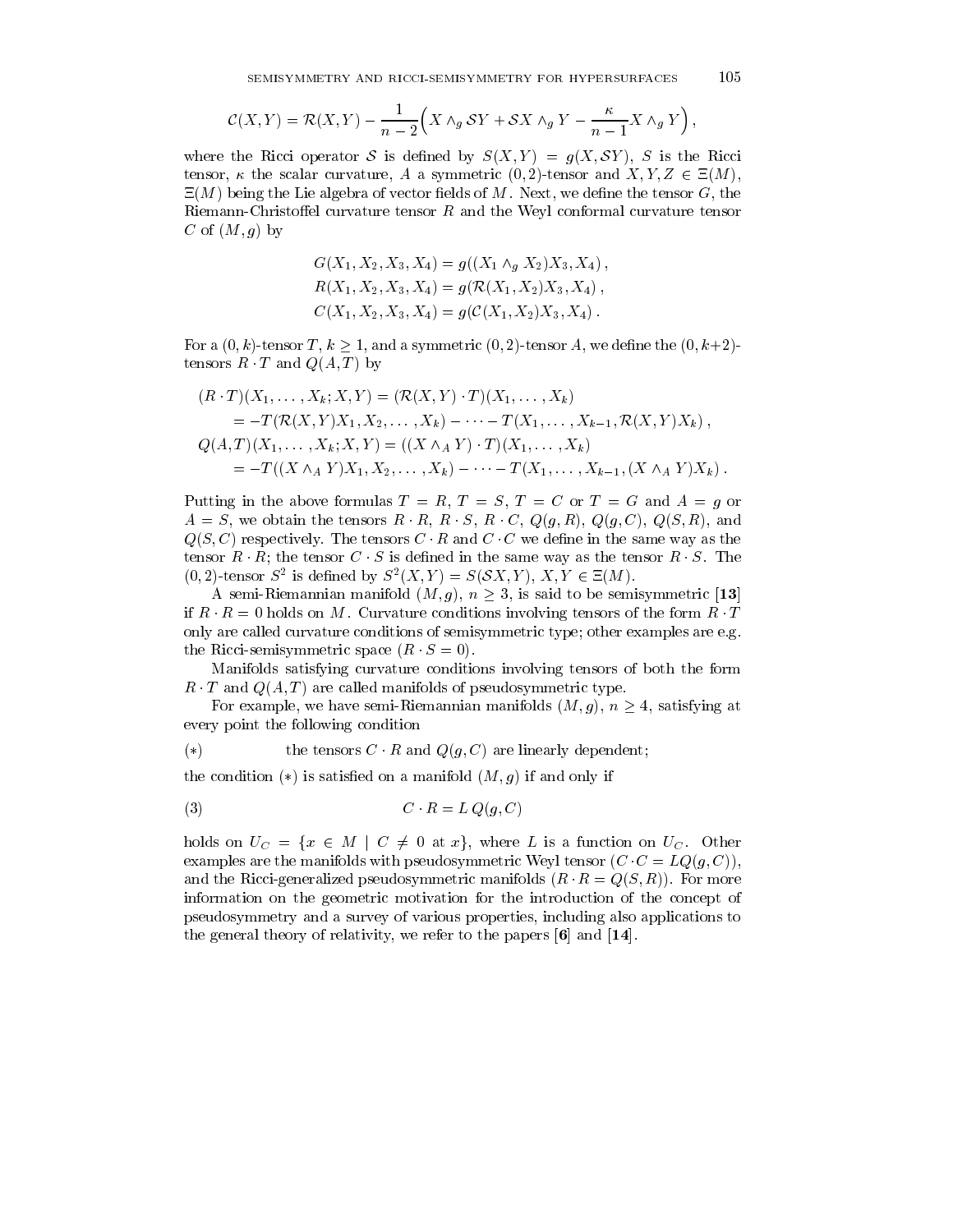the contract of the contract of the contract of the contract of the contract of

$$
\mathcal{C}(X,Y) = \mathcal{R}(X,Y) - \frac{1}{n-2} \Big(X \wedge_g \mathcal{S}Y + \mathcal{S}X \wedge_g Y - \frac{\kappa}{n-1}X \wedge_g Y\Big),
$$

where the Ricci operator S is defined by  $S(X, Y) = g(X, SY)$ , S is the Ricci tensor,  $\kappa$  the scalar curvature, A a symmetric (0,2)-tensor and  $X, Y, Z \in \Xi(M)$ ,  $\Xi(M)$  being the Lie algebra of vector fields of M. Next, we define the tensor G, the Riemann-Christoffel curvature tensor  $R$  and the Weyl conformal curvature tensor C of  $(M, g)$  by

$$
G(X_1, X_2, X_3, X_4) = g((X_1 \wedge_g X_2)X_3, X_4),
$$
  
\n
$$
R(X_1, X_2, X_3, X_4) = g(\mathcal{R}(X_1, X_2)X_3, X_4),
$$
  
\n
$$
C(X_1, X_2, X_3, X_4) = g(\mathcal{C}(X_1, X_2)X_3, X_4).
$$

For a  $(0, k)$ -tensor T,  $k > 1$ , and a symmetric  $(0, 2)$ -tensor A, we define the  $(0, k+2)$ tensors  $R \cdot T$  and  $Q(A, T)$  by

$$
(R \cdot T)(X_1, \ldots, X_k; X, Y) = (\mathcal{R}(X, Y) \cdot T)(X_1, \ldots, X_k)
$$
  
=  $-T(\mathcal{R}(X, Y)X_1, X_2, \ldots, X_k) - \cdots - T(X_1, \ldots, X_{k-1}, \mathcal{R}(X, Y)X_k),$   
 $Q(A, T)(X_1, \ldots, X_k; X, Y) = ((X \wedge_A Y) \cdot T)(X_1, \ldots, X_k)$   
=  $-T((X \wedge_A Y)X_1, X_2, \ldots, X_k) - \cdots - T(X_1, \ldots, X_{k-1}, (X \wedge_A Y)X_k).$ 

Putting in the above formulas  $T = R$ ,  $T = S$ ,  $T = C$  or  $T = G$  and  $A = g$  or  $A = S$ , we obtain the tensors  $R \cdot R$ ,  $R \cdot S$ ,  $R \cdot C$ ,  $Q(g, R)$ ,  $Q(g, C)$ ,  $Q(S, R)$ , and  $Q(S, C)$  respectively. The tensors  $C \cdot R$  and  $C \cdot C$  we define in the same way as the tensor  $R \cdot R$ ; the tensor  $C \cdot S$  is defined in the same way as the tensor  $R \cdot S$ . The  $(0, 2)$ -tensor  $S^2$  is defined by  $S^2(X, Y) = S(SX, Y), X, Y \in E(M)$ .

A semi-Riemannian manifold  $(M, g)$ ,  $n \geq 3$ , is said to be semisymmetric [13] if  $R \cdot R = 0$  holds on M. Curvature conditions involving tensors of the form  $R \cdot T$ only are called curvature conditions of semisymmetric type; other examples are e.g. the Ricci-semisymmetric space  $(R \cdot S = 0)$ .

Manifolds satisfying curvature conditions involving tensors of both the form R T and  $Q(A, T)$  are called manifolds of pseudosymmetric type.

For example, we have semi-Riemannian manifolds  $(M, g)$ ,  $n \geq 4$ , satisfying at every point the following condition

$$
(*)\qquad \qquad \text{the tensors } C \cdot R \text{ and } Q(g, C) \text{ are linearly dependent};
$$

the condition  $(*)$  is satisfied on a manifold  $(M, g)$  if and only if

$$
(3) \tC \cdot R = L Q(g, C)
$$

holds on  $U_C = \{x \in M \mid C \neq 0 \text{ at } x\}$ , where L is a function on  $U_C$ . Other examples are the manifolds with pseudosymmetric Weyl tensor  $(C \cdot C = LQ(g, C)),$ and the Ricci-generalized pseudosymmetric manifolds  $(R \cdot R = Q(S, R))$ . For more information on the geometric motivation for the introduction of the concept of pseudosymmetry and a survey of various properties, including also applications to the general theory of relativity, we refer to the papers  $[6]$  and  $[14]$ .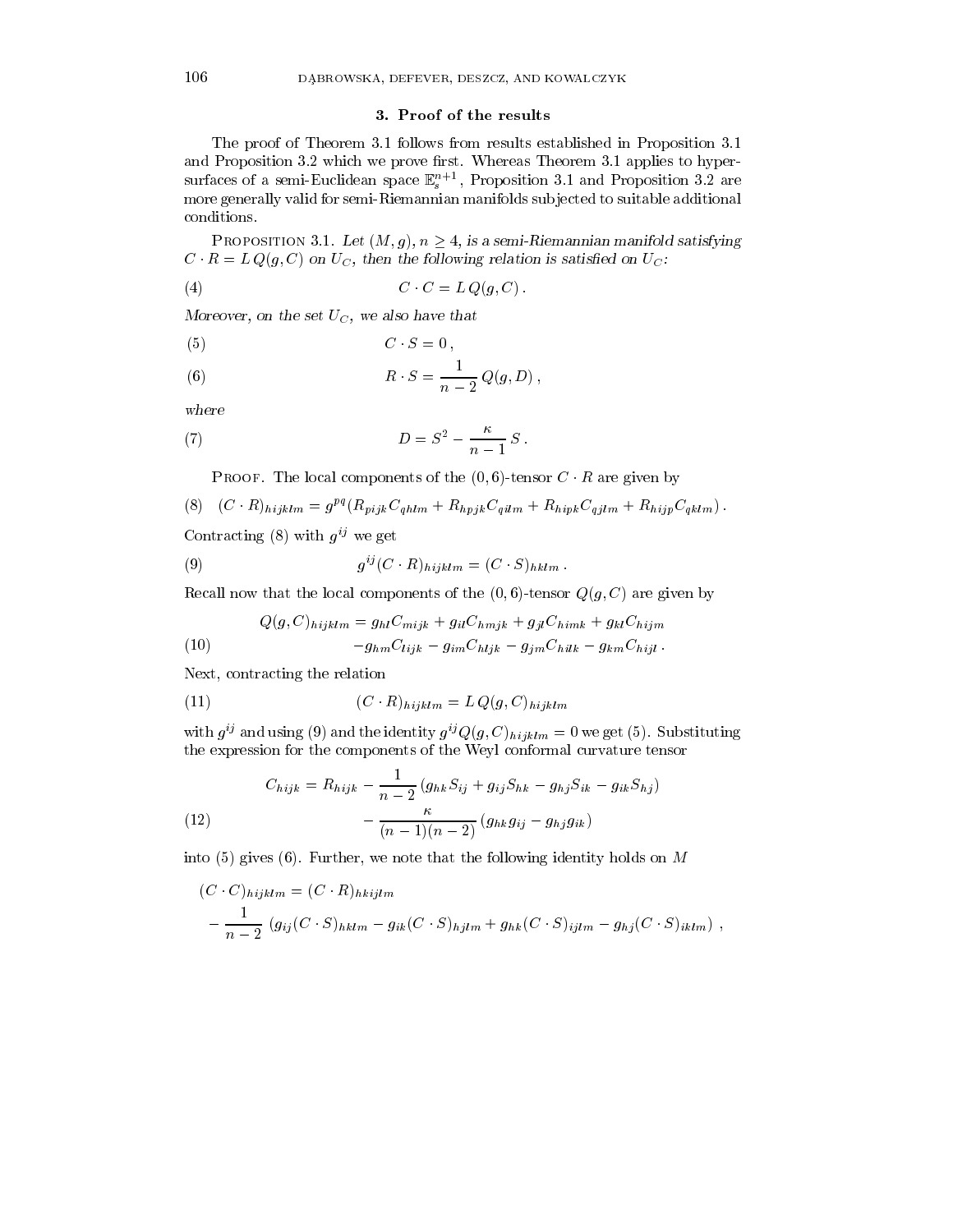### 3. Proof of the results

The proof of Theorem 3.1 follows from results established in Proposition 3.1 and Proposition 3.2 which we prove first. Whereas Theorem 3.1 applies to hypersurfaces of a semi-Euclidean space  $\mathbb{E}_s^{n+1}$ , Proposition 3.1 and Proposition 3.2 are more generally valid for semi-Riemannian manifolds sub jected to suitable additional conditions.

PROPOSITION 3.1. Let  $(M, g)$ ,  $n \geq 4$ , is a semi-Riemannian manifold satisfying  $C \ R = L Q(g, C)$  on  $U_C$ , then the following relation is satisfied on  $U_C$ :

$$
(4) \tC \cdot C = L Q(g, C).
$$

Moreover, on the set  $UC$ , we also have that

$$
(5) \tC \cdot S = 0,
$$

(6) 
$$
R \cdot S = \frac{1}{n-2} Q(g, D),
$$

where

(7) 
$$
D = S^2 - \frac{\kappa}{n-1} S.
$$

PROOF. The local components of the  $(0, 6)$ -tensor  $C \cdot R$  are given by

(8) 
$$
(C \cdot R)_{hijklm} = g^{pq} (R_{pijk} C_{qlilm} + R_{hpjk} C_{qilm} + R_{hipk} C_{qjlm} + R_{hijp} C_{qklm}).
$$
  
Contracting (8) with  $g^{ij}$  we get

Contracting  $(8)$  with  $g^{ij}$  we get  $\sim 100$ 

(9) 
$$
g^{ij}(C \cdot R)_{hijklm} = (C \cdot S)_{hklm}.
$$

Recall now that the local components of the  $(0, 6)$ -tensor  $Q(g, C)$  are given by

(10) 
$$
Q(g, C)_{hijklm} = g_{hl}C_{mijk} + g_{il}C_{hmjk} + g_{jl}C_{himk} + g_{kl}C_{hijm}
$$

$$
-g_{hm}C_{lijk} - g_{im}C_{hijk} - g_{jm}C_{hilk} - g_{km}C_{hijl}.
$$

Next, contracting the relation

(11) 
$$
(C \cdot R)_{hijklm} = L Q(g, C)_{hijklm}
$$

with  $g^{ij}$  and using (9) and the identity  $g^{ij}Q(g, C)_{hijklm} = 0$  we get (5). Substituting the expression for the components of the Weyl conformal curvature tensor

(12) 
$$
C_{hijk} = R_{hijk} - \frac{1}{n-2} (g_{hk}S_{ij} + g_{ij}S_{hk} - g_{hj}S_{ik} - g_{ik}S_{hj}) - \frac{\kappa}{(n-1)(n-2)} (g_{hk}g_{ij} - g_{hj}g_{ik})
$$

into (5) gives (6). Further, we note that the following identity holds on  $M$ 

$$
(C \cdot C)_{hijklm} = (C \cdot R)_{hkijlm}
$$
  
 
$$
-\frac{1}{n-2} (g_{ij}(C \cdot S)_{hklm} - g_{ik}(C \cdot S)_{hjlm} + g_{hk}(C \cdot S)_{ijlm} - g_{hj}(C \cdot S)_{iklm}),
$$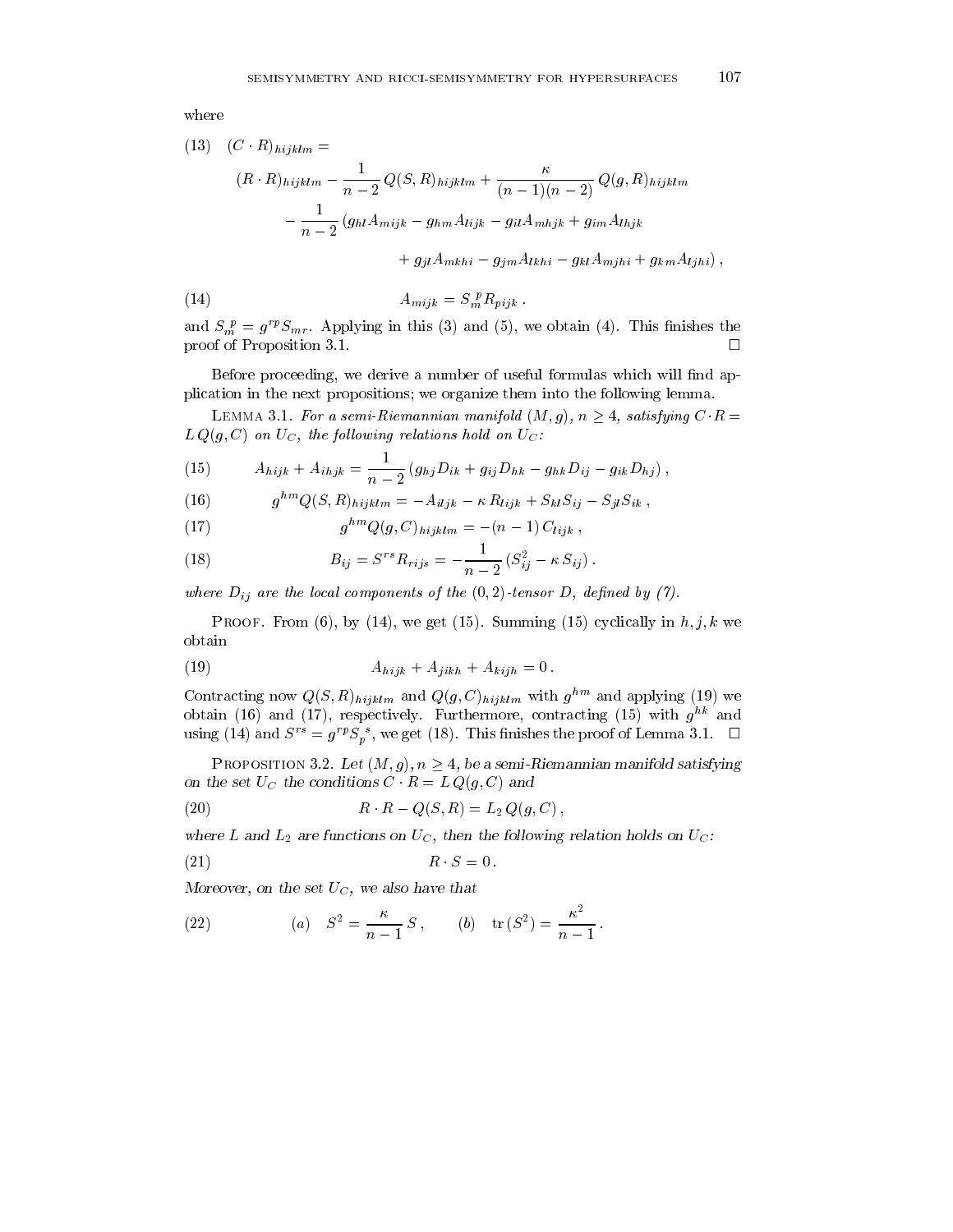(13) 
$$
(C \cdot R)_{hijklm} =
$$
  
\n
$$
(R \cdot R)_{hijklm} - \frac{1}{n-2} Q(S, R)_{hijklm} + \frac{\kappa}{(n-1)(n-2)} Q(g, R)_{hijklm}
$$
\n
$$
- \frac{1}{n-2} (g_{hl} A_{mijk} - g_{hm} A_{lijk} - g_{il} A_{mhjk} + g_{im} A_{lhjk}) + g_{jl} A_{mkhi} - g_{jlm} A_{lkhi} - g_{kl} A_{mjhi} + g_{km} A_{ljhi}),
$$
\n(14) 
$$
A_{mijk} = S_m^{\ p} R_{nik}.
$$

and  $S_m^p = g^{rp} S_{mr}$ . Applying in this (3) and (5), we obtain (4). This finishes the proof of Proposition 3.1.  $\Box$ 

 $A_{mijk} = \sum_{m} K_{pijk}$ 

Before proceeding, we derive a number of useful formulas which will find application in the next propositions; we organize them into the following lemma.

LEMMA 3.1. For a semi-Riemannian manifold  $(M, g)$ ,  $n \geq 4$ , satisfying  $C \cdot R =$  $L Q(g, C)$  on  $U_C$ , the following relations hold on  $U_C$ :

(15) 
$$
A_{hijk} + A_{ihjk} = \frac{1}{n-2} (g_{hj}D_{ik} + g_{ij}D_{hk} - g_{hk}D_{ij} - g_{ik}D_{hj}),
$$

(16) 
$$
g^{hm}Q(S,R)_{hijklm} = -A_{iljk} - \kappa R_{lijk} + S_{kl}S_{ij} - S_{jl}S_{ik},
$$

(17) 
$$
g^{hm}Q(g, C)_{hijklm} = -(n-1) C_{lijk},
$$

(18) 
$$
B_{ij} = S^{rs} R_{rijs} = -\frac{1}{n-2} (S_{ij}^2 - \kappa S_{ij}).
$$

where  $D_{ij}$  are the local components of the  $(0, 2)$ -tensor  $D$ , defined by (1).

PROOF. From (6), by (14), we get (15). Summing (15) cyclically in  $h, j, k$  we obtain

(19) 
$$
A_{hijk} + A_{jikh} + A_{kijh} = 0.
$$

Contracting now  $Q(S, R)$ <sub>hijklm</sub> and  $Q(g, C)$ <sub>hijklm</sub> with  $g$  and applying (19) we obtain (16) and (17), respectively. Furthermore, contracting (15) with  $g^{hk}$  and using (14) and  $S^{rs} = g^{rp} S_p^s$ , we get (18). This finishes the proof of Lemma 3.1.  $\Box$ 

PROPOSITION 3.2. Let  $(M, g)$ ,  $n \geq 4$ , be a semi-Riemannian manifold satisfying on the set  $U_C$  the conditions  $C \cap R = L \vee Q(g, C)$  and

 $\sim$ 

(20) 
$$
R \cdot R - Q(S, R) = L_2 Q(g, C),
$$

where L and  $E_2$  are functions on  $U_C$ , then the following relation holds on  $U_C$ .

$$
(21) \t\t R \t S = 0.
$$

Moreover, on the set  $U_C$ , we also have that

(22) (a) 
$$
S^2 = \frac{\kappa}{n-1} S
$$
, (b)  $tr(S^2) = \frac{\kappa^2}{n-1}$ .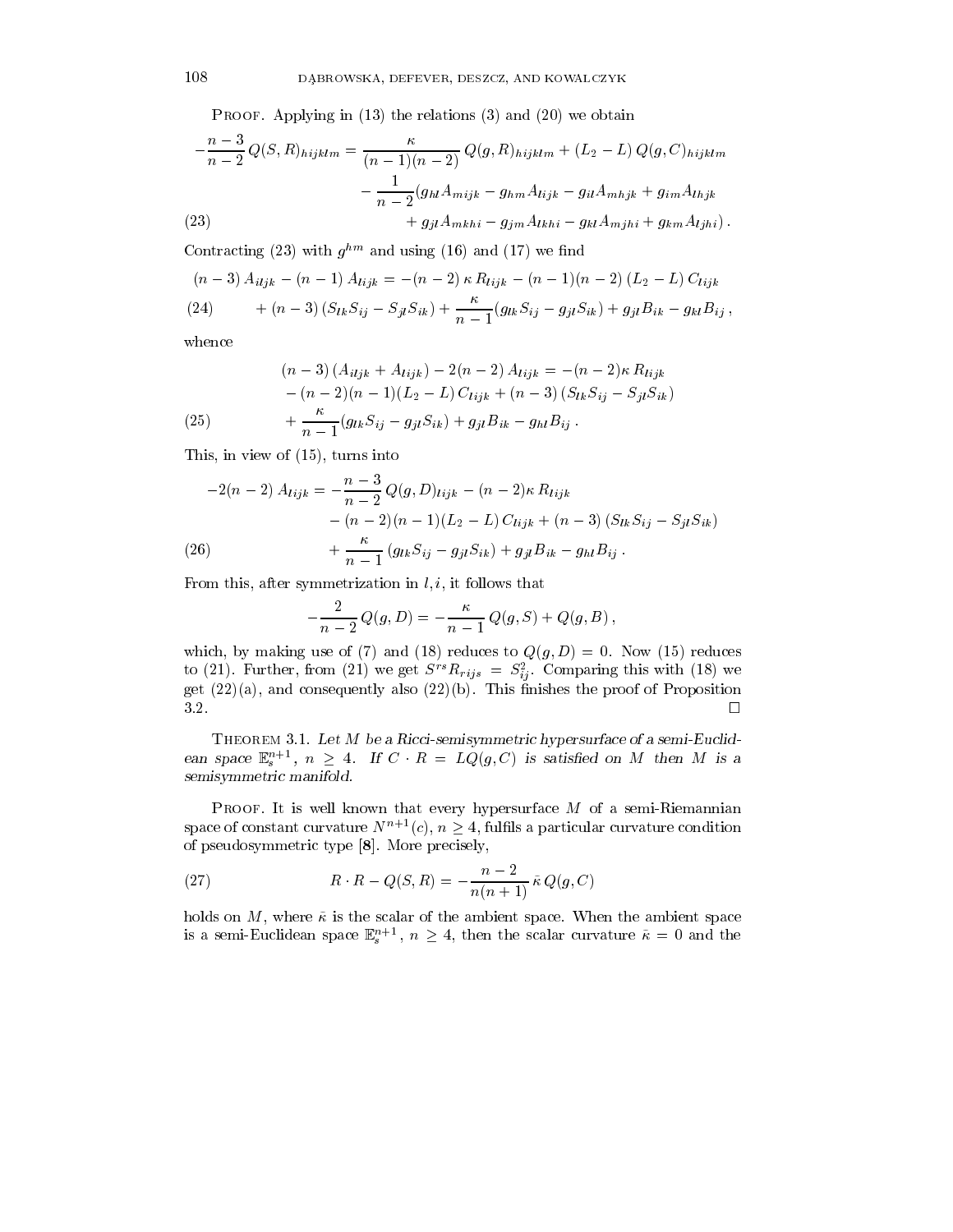PROOF. Applying in  $(13)$  the relations  $(3)$  and  $(20)$  we obtain

$$
-\frac{n-3}{n-2}Q(S,R)_{hijklm} = \frac{\kappa}{(n-1)(n-2)}Q(g,R)_{hijklm} + (L_2 - L)Q(g,C)_{hijklm}
$$

$$
-\frac{1}{n-2}(g_{hl}A_{mijk} - g_{hm}A_{lijk} - g_{il}A_{mhjk} + g_{im}A_{lhjk})
$$

$$
(23)
$$

$$
+g_{jl}A_{mkhi} - g_{jm}A_{lkhi} - g_{kl}A_{mjhi} + g_{km}A_{ljhi}).
$$

Contracting (23) with  $g^{hm}$  and using (16) and (17) we find

$$
(n-3) A_{i l j k} - (n-1) A_{l i j k} = -(n-2) \kappa R_{l i j k} - (n-1) (n-2) (L_2 - L) C_{l i j k}
$$
  
(24) 
$$
+ (n-3) (S_{l k} S_{i j} - S_{j l} S_{i k}) + \frac{\kappa}{n-1} (g_{l k} S_{i j} - g_{j l} S_{i k}) + g_{j l} B_{i k} - g_{k l} B_{i j},
$$

whence

(25) 
$$
(n-3) (A_{i1jk} + A_{lijk}) - 2(n-2) A_{lijk} = -(n-2)\kappa R_{lijk} - (n-2)(n-1)(L_2 - L) C_{lijk} + (n-3) (S_{lk}S_{ij} - S_{jl}S_{ik}) + \frac{\kappa}{n-1} (g_{lk}S_{ij} - g_{jl}S_{ik}) + g_{jl}B_{ik} - g_{hl}B_{ij}.
$$

This, in view of (15), turns into

$$
-2(n-2) A_{lijk} = -\frac{n-3}{n-2} Q(g, D)_{lijk} - (n-2)\kappa R_{lijk} - (n-2)(n-1)(L_2 - L) C_{lijk} + (n-3) (S_{lk}S_{ij} - S_{jl}S_{ik}) + \frac{\kappa}{n-1} (g_{lk}S_{ij} - g_{jl}S_{ik}) + g_{jl}B_{ik} - g_{hl}B_{ij} .
$$

From this, after symmetrization in  $l, i$ , it follows that

$$
-\frac{2}{n-2}Q(g,D) = -\frac{\kappa}{n-1}Q(g,S) + Q(g,B),
$$

which, by making use of (7) and (18) reduces to  $Q(g, D) = 0$ . Now (15) reduces to (21). Further, from (21) we get  $S^{-1}h_{rijs} = S_{ij}^{-1}$ . Comparing this with (18) we get  $(22)(a)$ , and consequently also  $(22)(b)$ . This finishes the proof of Proposition

THEOREM 3.1. Let M be a Ricci-semisymmetric hypersurface of a semi-Euclidean space  $\mathbb{E}_s^{n+1}$ ,  $n \geq 4$ . If  $C \cdot R = LQ(g, C)$  is satisfied on M then M is a semisymmetric manifold.

**PROOF.** It is well known that every hypersurface  $M$  of a semi-Riemannian space of constant curvature  $N^{n+1}(c)$ ,  $n \geq 4$ , fulfils a particular curvature condition of pseudosymmetric type [8]. More precisely,

(27) 
$$
R \cdot R - Q(S, R) = -\frac{n-2}{n(n+1)} \tilde{\kappa} Q(g, C)
$$

holds on  $M$ , where  $\tilde{\kappa}$  is the scalar of the ambient space. When the ambient space is a semi-Euclidean space  $\mathbb{E}_{s}^{n+1}$ ,  $n \geq 4$ , then the scalar curvature  $\tilde{\kappa} = 0$  and the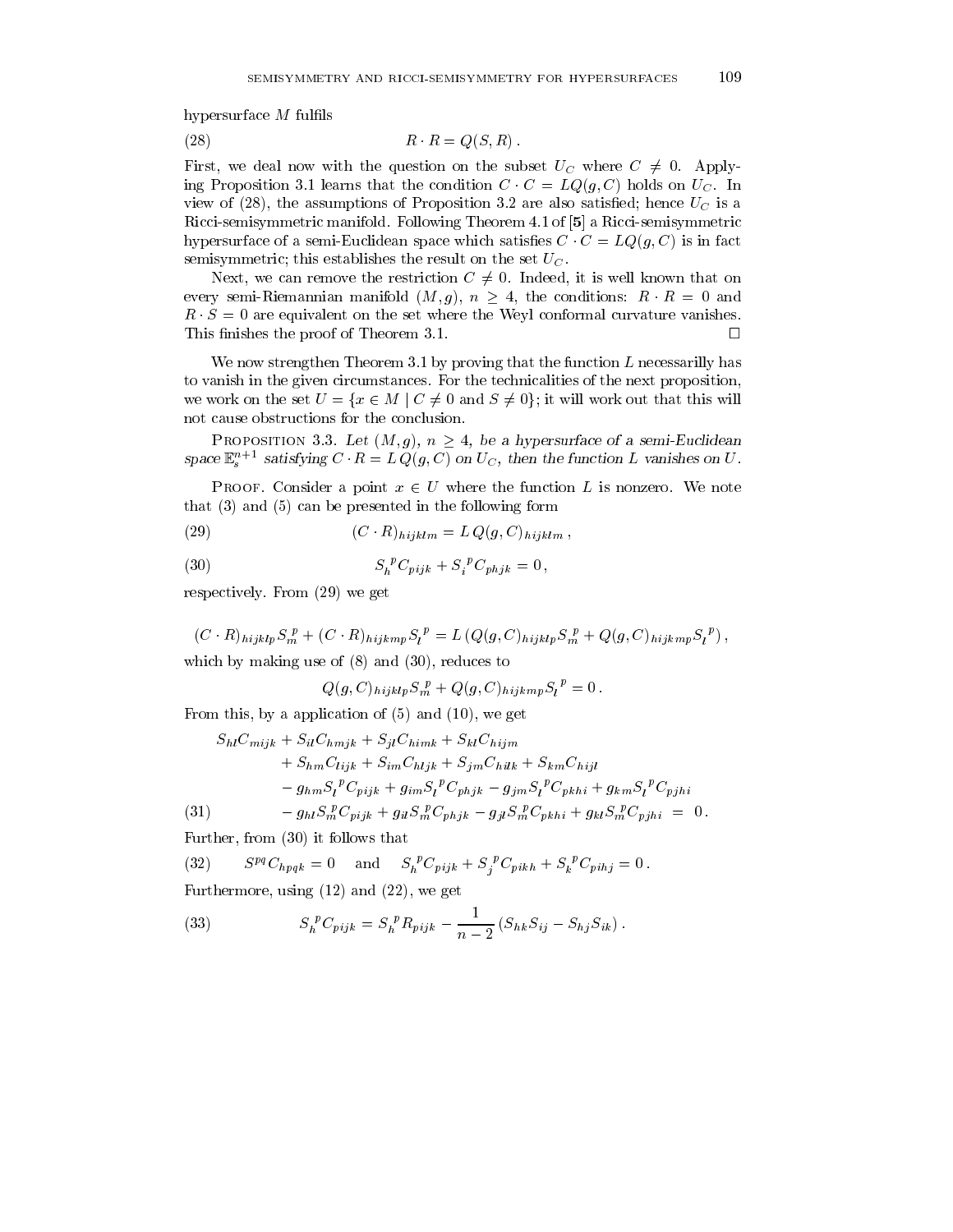hypersurface  $M$  fulfils

$$
(28) \t\t R \t R = Q(S, R).
$$

First, we deal now with the question on the subset  $U_C$  where  $C \neq 0$ . Applying Proposition 3.1 learns that the condition  $C \cdot C = LQ(g, C)$  holds on  $U_C$ . In view of (28), the assumptions of Proposition 3.2 are also satisfied; hence  $U_C$  is a Ricci-semisymmetric manifold. Following Theorem 4.1 of [5] a Ricci-semisymmetric hypersurface of a semi-Euclidean space which satisfies  $C \cdot C = LQ(g, C)$  is in fact semisymmetric; this establishes the result on the set  $U_C$ .

Next, we can remove the restriction  $C \neq 0$ . Indeed, it is well known that on every semi-Riemannian manifold  $(M, g)$ ,  $n \geq 4$ , the conditions:  $R \cdot R = 0$  and  $R \cdot S = 0$  are equivalent on the set where the Weyl conformal curvature vanishes. This finishes the proof of Theorem 3.1.  $\Box$ 

We now strengthen Theorem 3.1 by proving that the function  $L$  necessarilly has to vanish in the given circumstances. For the technicalities of the next proposition, we work on the set  $U = \{x \in M \mid C \neq 0 \text{ and } S \neq 0\}$ ; it will work out that this will not cause obstructions for the conclusion.

PROPOSITION 3.3. Let  $(M, g)$ ,  $n \geq 4$ , be a hypersurface of a semi-Euclidean space  $\mathbb{E}_s$  satisfying  $C \cdot R = L Q(g, C)$  on  $U_C$ , then the function L vanishes on U.

PROOF. Consider a point  $x \in U$  where the function L is nonzero. We note that (3) and (5) can be presented in the following form

(29) 
$$
(C \cdot R)_{hijklm} = L Q(g, C)_{hijklm},
$$

(30) 
$$
S_h{}^p C_{pijk} + S_i{}^p C_{phjk} = 0,
$$

respectively. From (29) we get

 $(C \cdot R)_{hijklp} S_m^F + (C \cdot R)_{hijkmp} S_l^F = L (Q(g, C)_{hijklp} S_m^F + Q(g, C)_{hijkmp} S_l^F)$ , which by making use of (8) and (30), reduces to

$$
Q(g, C)_{hijklp} S_m^p + Q(g, C)_{hijkmp} S_l^p = 0.
$$

From this, by a application of  $(5)$  and  $(10)$ , we get

$$
S_{hl}C_{mijk} + S_{il}C_{hmjk} + S_{jl}C_{himk} + S_{kl}C_{hijm}
$$
  
+  $S_{hm}C_{lijk} + S_{im}C_{hijk} + S_{jm}C_{hilk} + S_{km}C_{hijl}$   
-  $g_{hm}S_l^P C_{pijk} + g_{im}S_l^P C_{phjk} - g_{jm}S_l^P C_{pkhi} + g_{km}S_l^P C_{pjhi}$   
(31) -  $g_{hl}S_m^P C_{pijk} + g_{il}S_m^P C_{phjk} - g_{jl}S_m^P C_{pkhi} + g_{kl}S_m^P C_{pjhi} = 0$ .

Further, from (30) it follows that

 $S^{pq}C_{hpqk} = 0$  and  $S_h^{\ \ k}C_{pijk} + S_i^{\ \ k}C_{pikh} + S_k^{\ \ k}C_{pijl} = 0$ . (32) Furthermore, using (12) and (22), we get

(33) 
$$
S_h^{\ p} C_{pijk} = S_h^{\ p} R_{pijk} - \frac{1}{n-2} \left( S_{hk} S_{ij} - S_{hj} S_{ik} \right).
$$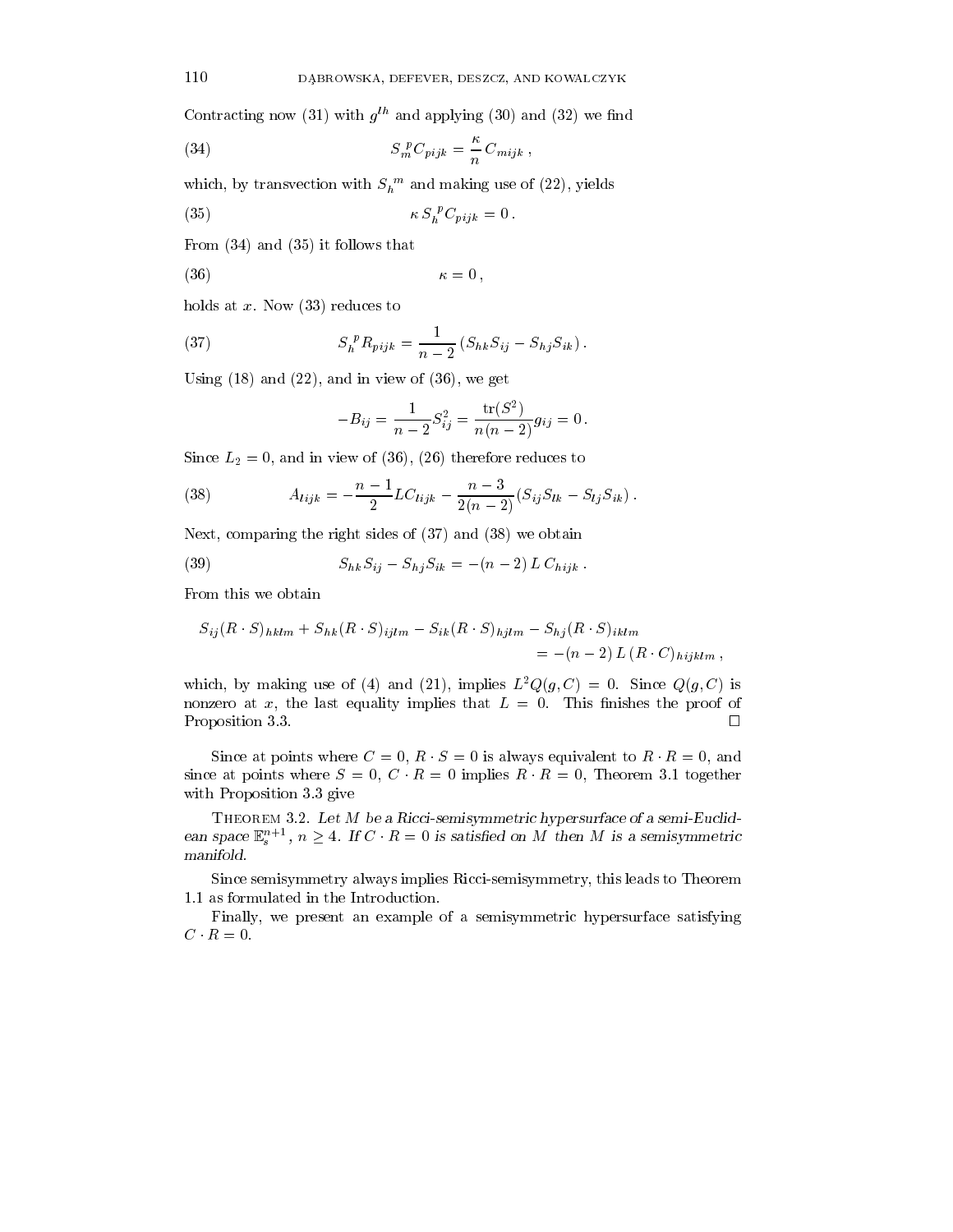Contracting now (31) with  $g^{th}$  and applying (30) and (32) we find

(34) 
$$
S_m^{\ P}C_{pijk} = \frac{\kappa}{n} C_{mijk} ,
$$

which, by transvection with  $S_h$  and making use of (22), yields

$$
\kappa S_h^{\ p} C_{pijk} = 0.
$$

From (34) and (35) it follows that

$$
\kappa = 0,
$$

holds at  $x$ . Now  $(33)$  reduces to

(37) 
$$
S_h^{\ p} R_{pijk} = \frac{1}{n-2} \left( S_{hk} S_{ij} - S_{hj} S_{ik} \right).
$$

Using  $(18)$  and  $(22)$ , and in view of  $(36)$ , we get

$$
-B_{ij} = \frac{1}{n-2} S_{ij}^2 = \frac{\text{tr}(S^2)}{n(n-2)} g_{ij} = 0.
$$

Since  $L_2 = 0$ , and in view of (36), (26) therefore reduces to

(38) 
$$
A_{lijk} = -\frac{n-1}{2}LC_{lijk} - \frac{n-3}{2(n-2)}(S_{ij}S_{lk} - S_{lj}S_{ik}).
$$

Next, comparing the right sides of (37) and (38) we obtain

(39) 
$$
S_{hk}S_{ij} - S_{hj}S_{ik} = -(n-2)L C_{hijk}.
$$

From this we obtain

$$
S_{ij}(R \cdot S)_{hklm} + S_{hk}(R \cdot S)_{ijlm} - S_{ik}(R \cdot S)_{hjlm} - S_{hj}(R \cdot S)_{iklm}
$$
  
= -(n-2) L (R \cdot C)\_{hijklm},

which, by making use of (4) and (21), implies  $L^2Q(g, C) = 0$ . Since  $Q(g, C)$  is nonzero at x, the last equality implies that  $L = 0$ . This finishes the proof of Proposition 3.3.

Since at points where  $C = 0$ ,  $R \cdot S = 0$  is always equivalent to  $R \cdot R = 0$ , and since at points where  $S = 0$ ,  $C \cdot R = 0$  implies  $R \cdot R = 0$ , Theorem 3.1 together with Proposition 3.3 give

THEOREM 3.2. Let M be a Ricci-semisymmetric hypersurface of a semi-Euclidean space  $\mathbb{E}_s^{n+1}$ ,  $n \geq 4$ . If  $C \cdot R = 0$  is satisfied on M then M is a semisymmetric manifold.

Since semisymmetry always implies Ricci-semisymmetry, this leads to Theorem 1.1 as formulated in the Introduction.

Finally, we present an example of a semisymmetric hypersurface satisfying  $C \cdot R = 0.$